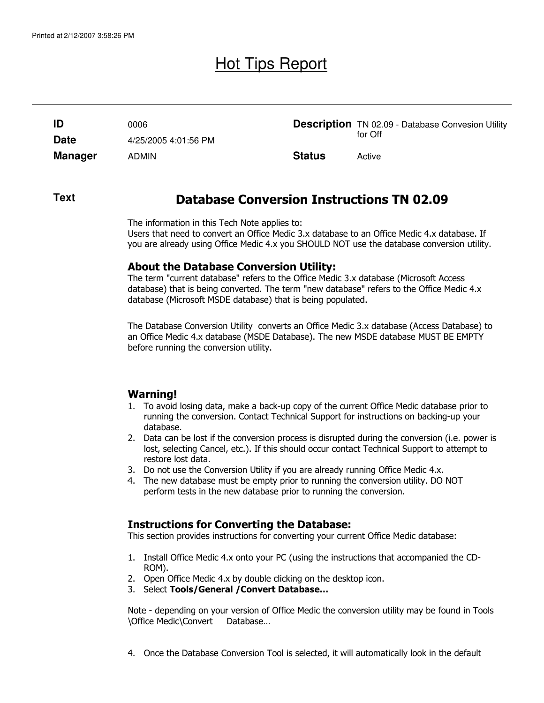# Hot Tips Report

| ID             | 0006                 |               | <b>Description</b> TN 02.09 - Database Convesion Utility |
|----------------|----------------------|---------------|----------------------------------------------------------|
| <b>Date</b>    | 4/25/2005 4:01:56 PM |               | for Off                                                  |
| <b>Manager</b> | <b>ADMIN</b>         | <b>Status</b> | Active                                                   |

#### **Text**

## Database Conversion Instructions TN 02.09

The information in this Tech Note applies to: Users that need to convert an Office Medic 3.x database to an Office Medic 4.x database. If you are already using Office Medic 4.x you SHOULD NOT use the database conversion utility.

#### About the Database Conversion Utility:

The term "current database" refers to the Office Medic 3.x database (Microsoft Access database) that is being converted. The term "new database" refers to the Office Medic 4.x database (Microsoft MSDE database) that is being populated.

The Database Conversion Utility converts an Office Medic 3.x database (Access Database) to an Office Medic 4.x database (MSDE Database). The new MSDE database MUST BE EMPTY before running the conversion utility.

### Warning!

- 1. To avoid losing data, make a back-up copy of the current Office Medic database prior to running the conversion. Contact Technical Support for instructions on backing-up your database.
- 2. Data can be lost if the conversion process is disrupted during the conversion (i.e. power is lost, selecting Cancel, etc.). If this should occur contact Technical Support to attempt to restore lost data.
- 3. Do not use the Conversion Utility if you are already running Office Medic 4.x.
- 4. The new database must be empty prior to running the conversion utility. DO NOT perform tests in the new database prior to running the conversion.

### Instructions for Converting the Database:

This section provides instructions for converting your current Office Medic database:

- 1. Install Office Medic 4.x onto your PC (using the instructions that accompanied the CD-ROM).
- 2. Open Office Medic 4.x by double clicking on the desktop icon.
- 3. Select Tools/General /Convert Database…

Note - depending on your version of Office Medic the conversion utility may be found in Tools \Office Medic\Convert Database…

4. Once the Database Conversion Tool is selected, it will automatically look in the default